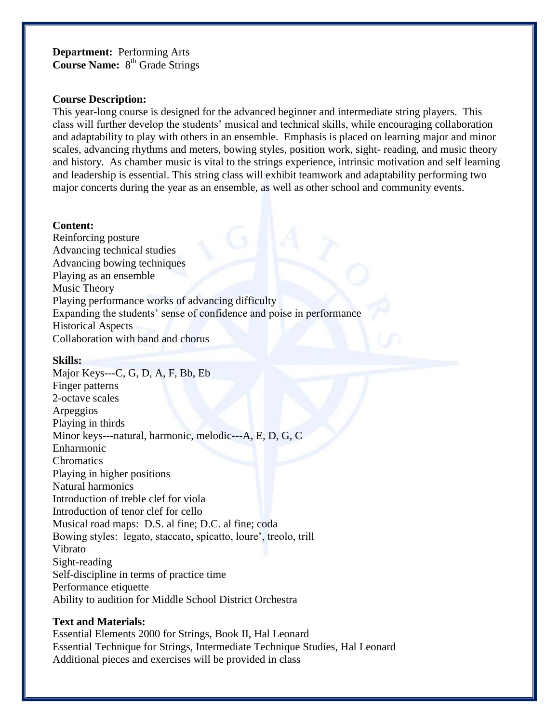**Department:** Performing Arts **Course Name:** 8<sup>th</sup> Grade Strings

#### **Course Description:**

This year-long course is designed for the advanced beginner and intermediate string players. This class will further develop the students' musical and technical skills, while encouraging collaboration and adaptability to play with others in an ensemble. Emphasis is placed on learning major and minor scales, advancing rhythms and meters, bowing styles, position work, sight- reading, and music theory and history. As chamber music is vital to the strings experience, intrinsic motivation and self learning and leadership is essential. This string class will exhibit teamwork and adaptability performing two major concerts during the year as an ensemble, as well as other school and community events.

### **Content:**

Reinforcing posture Advancing technical studies Advancing bowing techniques Playing as an ensemble Music Theory Playing performance works of advancing difficulty Expanding the students' sense of confidence and poise in performance Historical Aspects Collaboration with band and chorus

### **Skills:**

Major Keys---C, G, D, A, F, Bb, Eb Finger patterns 2-octave scales Arpeggios Playing in thirds Minor keys---natural, harmonic, melodic---A, E, D, G, C Enharmonic **Chromatics** Playing in higher positions Natural harmonics Introduction of treble clef for viola Introduction of tenor clef for cello Musical road maps: D.S. al fine; D.C. al fine; coda Bowing styles: legato, staccato, spicatto, loure', treolo, trill Vibrato Sight-reading Self-discipline in terms of practice time Performance etiquette Ability to audition for Middle School District Orchestra

## **Text and Materials:**

Essential Elements 2000 for Strings, Book II, Hal Leonard Essential Technique for Strings, Intermediate Technique Studies, Hal Leonard Additional pieces and exercises will be provided in class